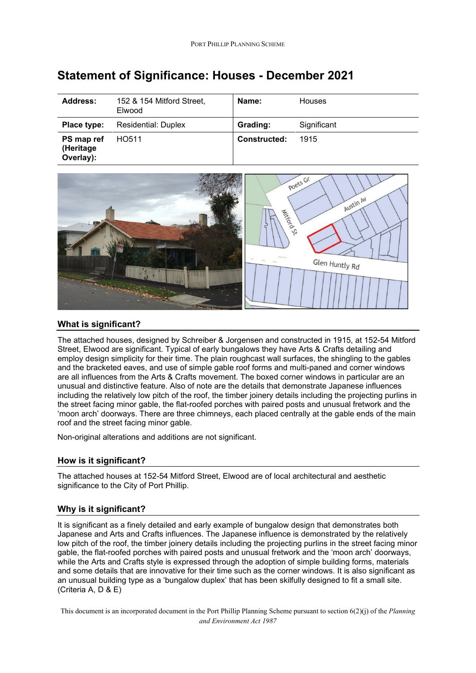| Address:                             | 152 & 154 Mitford Street,<br>Elwood | Name:               | <b>Houses</b> |
|--------------------------------------|-------------------------------------|---------------------|---------------|
| Place type:                          | <b>Residential: Duplex</b>          | Grading:            | Significant   |
| PS map ref<br>(Heritage<br>Overlay): | HO511                               | <b>Constructed:</b> | 1915          |

# **Statement of Significance: Houses - December 2021**



## **What is significant?**

The attached houses, designed by Schreiber & Jorgensen and constructed in 1915, at 152-54 Mitford Street, Elwood are significant. Typical of early bungalows they have Arts & Crafts detailing and employ design simplicity for their time. The plain roughcast wall surfaces, the shingling to the gables and the bracketed eaves, and use of simple gable roof forms and multi-paned and corner windows are all influences from the Arts & Crafts movement. The boxed corner windows in particular are an unusual and distinctive feature. Also of note are the details that demonstrate Japanese influences including the relatively low pitch of the roof, the timber joinery details including the projecting purlins in the street facing minor gable, the flat-roofed porches with paired posts and unusual fretwork and the 'moon arch' doorways. There are three chimneys, each placed centrally at the gable ends of the main roof and the street facing minor gable.

Non-original alterations and additions are not significant.

### **How is it significant?**

The attached houses at 152-54 Mitford Street, Elwood are of local architectural and aesthetic significance to the City of Port Phillip.

### **Why is it significant?**

It is significant as a finely detailed and early example of bungalow design that demonstrates both Japanese and Arts and Crafts influences. The Japanese influence is demonstrated by the relatively low pitch of the roof, the timber joinery details including the projecting purlins in the street facing minor gable, the flat-roofed porches with paired posts and unusual fretwork and the 'moon arch' doorways, while the Arts and Crafts style is expressed through the adoption of simple building forms, materials and some details that are innovative for their time such as the corner windows. It is also significant as an unusual building type as a 'bungalow duplex' that has been skilfully designed to fit a small site. (Criteria A, D & E)

This document is an incorporated document in the Port Phillip Planning Scheme pursuant to section 6(2)(j) of the *Planning and Environment Act 1987*